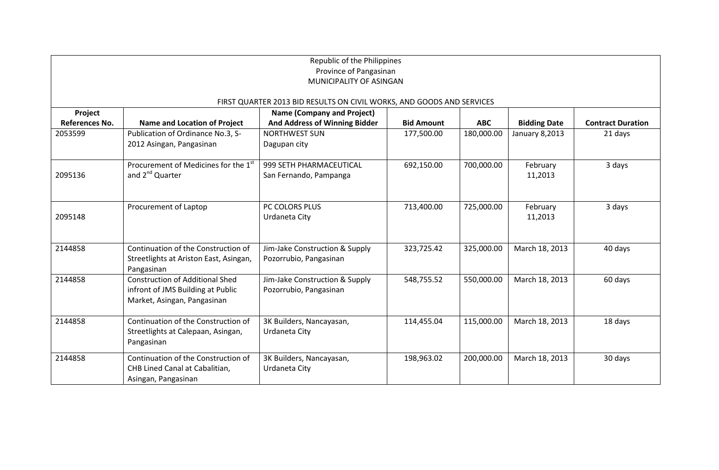| Republic of the Philippines                                           |                                                  |                                   |                   |            |                     |                          |  |
|-----------------------------------------------------------------------|--------------------------------------------------|-----------------------------------|-------------------|------------|---------------------|--------------------------|--|
| Province of Pangasinan                                                |                                                  |                                   |                   |            |                     |                          |  |
| MUNICIPALITY OF ASINGAN                                               |                                                  |                                   |                   |            |                     |                          |  |
|                                                                       |                                                  |                                   |                   |            |                     |                          |  |
| FIRST QUARTER 2013 BID RESULTS ON CIVIL WORKS, AND GOODS AND SERVICES |                                                  |                                   |                   |            |                     |                          |  |
| Project                                                               |                                                  | <b>Name (Company and Project)</b> |                   |            |                     |                          |  |
| <b>References No.</b>                                                 | <b>Name and Location of Project</b>              | And Address of Winning Bidder     | <b>Bid Amount</b> | <b>ABC</b> | <b>Bidding Date</b> | <b>Contract Duration</b> |  |
| 2053599                                                               | Publication of Ordinance No.3, S-                | <b>NORTHWEST SUN</b>              | 177,500.00        | 180,000.00 | January 8,2013      | 21 days                  |  |
|                                                                       | 2012 Asingan, Pangasinan                         | Dagupan city                      |                   |            |                     |                          |  |
|                                                                       |                                                  |                                   |                   |            |                     |                          |  |
|                                                                       | Procurement of Medicines for the 1 <sup>st</sup> | 999 SETH PHARMACEUTICAL           | 692,150.00        | 700,000.00 | February            | 3 days                   |  |
| 2095136                                                               | and 2 <sup>nd</sup> Quarter                      | San Fernando, Pampanga            |                   |            | 11,2013             |                          |  |
|                                                                       |                                                  |                                   |                   |            |                     |                          |  |
|                                                                       |                                                  |                                   |                   |            |                     |                          |  |
|                                                                       | Procurement of Laptop                            | PC COLORS PLUS                    | 713,400.00        | 725,000.00 | February            | 3 days                   |  |
| 2095148                                                               |                                                  | Urdaneta City                     |                   |            | 11,2013             |                          |  |
|                                                                       |                                                  |                                   |                   |            |                     |                          |  |
|                                                                       |                                                  |                                   |                   |            |                     |                          |  |
| 2144858                                                               | Continuation of the Construction of              | Jim-Jake Construction & Supply    | 323,725.42        | 325,000.00 | March 18, 2013      | 40 days                  |  |
|                                                                       | Streetlights at Ariston East, Asingan,           | Pozorrubio, Pangasinan            |                   |            |                     |                          |  |
|                                                                       | Pangasinan                                       |                                   |                   |            |                     |                          |  |
| 2144858                                                               | <b>Construction of Additional Shed</b>           | Jim-Jake Construction & Supply    | 548,755.52        | 550,000.00 | March 18, 2013      | 60 days                  |  |
|                                                                       | infront of JMS Building at Public                | Pozorrubio, Pangasinan            |                   |            |                     |                          |  |
|                                                                       | Market, Asingan, Pangasinan                      |                                   |                   |            |                     |                          |  |
|                                                                       |                                                  |                                   |                   |            |                     |                          |  |
| 2144858                                                               | Continuation of the Construction of              | 3K Builders, Nancayasan,          | 114,455.04        | 115,000.00 | March 18, 2013      | 18 days                  |  |
|                                                                       | Streetlights at Calepaan, Asingan,               | Urdaneta City                     |                   |            |                     |                          |  |
|                                                                       | Pangasinan                                       |                                   |                   |            |                     |                          |  |
| 2144858                                                               | Continuation of the Construction of              | 3K Builders, Nancayasan,          | 198,963.02        | 200,000.00 | March 18, 2013      | 30 days                  |  |
|                                                                       | CHB Lined Canal at Cabalitian,                   | Urdaneta City                     |                   |            |                     |                          |  |
|                                                                       | Asingan, Pangasinan                              |                                   |                   |            |                     |                          |  |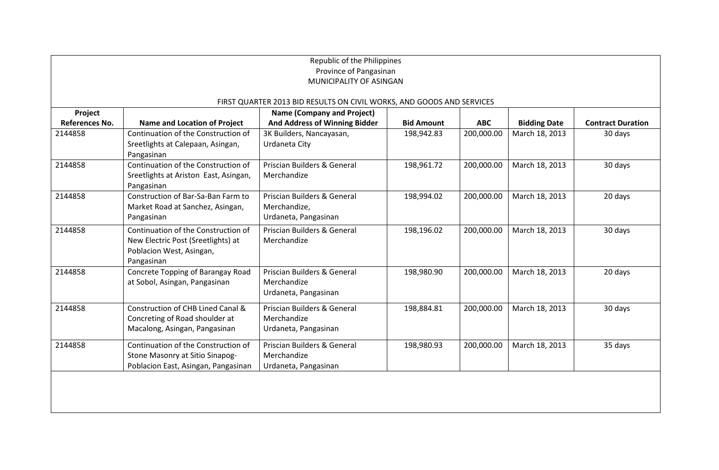| Republic of the Philippines<br>Province of Pangasinan<br>MUNICIPALITY OF ASINGAN |                                                                                                                     |                                                                     |                   |            |                     |                          |  |
|----------------------------------------------------------------------------------|---------------------------------------------------------------------------------------------------------------------|---------------------------------------------------------------------|-------------------|------------|---------------------|--------------------------|--|
| FIRST QUARTER 2013 BID RESULTS ON CIVIL WORKS, AND GOODS AND SERVICES            |                                                                                                                     |                                                                     |                   |            |                     |                          |  |
| Project                                                                          |                                                                                                                     | <b>Name (Company and Project)</b>                                   |                   |            |                     |                          |  |
| <b>References No.</b>                                                            | <b>Name and Location of Project</b>                                                                                 | And Address of Winning Bidder                                       | <b>Bid Amount</b> | <b>ABC</b> | <b>Bidding Date</b> | <b>Contract Duration</b> |  |
| 2144858                                                                          | Continuation of the Construction of<br>Sreetlights at Calepaan, Asingan,<br>Pangasinan                              | 3K Builders, Nancayasan,<br>Urdaneta City                           | 198,942.83        | 200,000.00 | March 18, 2013      | 30 days                  |  |
| 2144858                                                                          | Continuation of the Construction of<br>Sreetlights at Ariston East, Asingan,<br>Pangasinan                          | Priscian Builders & General<br>Merchandize                          | 198,961.72        | 200,000.00 | March 18, 2013      | 30 days                  |  |
| 2144858                                                                          | Construction of Bar-Sa-Ban Farm to<br>Market Road at Sanchez, Asingan,<br>Pangasinan                                | Priscian Builders & General<br>Merchandize,<br>Urdaneta, Pangasinan | 198,994.02        | 200,000.00 | March 18, 2013      | 20 days                  |  |
| 2144858                                                                          | Continuation of the Construction of<br>New Electric Post (Sreetlights) at<br>Poblacion West, Asingan,<br>Pangasinan | Priscian Builders & General<br>Merchandize                          | 198,196.02        | 200,000.00 | March 18, 2013      | 30 days                  |  |
| 2144858                                                                          | Concrete Topping of Barangay Road<br>at Sobol, Asingan, Pangasinan                                                  | Priscian Builders & General<br>Merchandize<br>Urdaneta, Pangasinan  | 198,980.90        | 200,000.00 | March 18, 2013      | 20 days                  |  |
| 2144858                                                                          | Construction of CHB Lined Canal &<br>Concreting of Road shoulder at<br>Macalong, Asingan, Pangasinan                | Priscian Builders & General<br>Merchandize<br>Urdaneta, Pangasinan  | 198,884.81        | 200,000.00 | March 18, 2013      | 30 days                  |  |
| 2144858                                                                          | Continuation of the Construction of<br>Stone Masonry at Sitio Sinapog-<br>Poblacion East, Asingan, Pangasinan       | Priscian Builders & General<br>Merchandize<br>Urdaneta, Pangasinan  | 198,980.93        | 200,000.00 | March 18, 2013      | 35 days                  |  |
|                                                                                  |                                                                                                                     |                                                                     |                   |            |                     |                          |  |